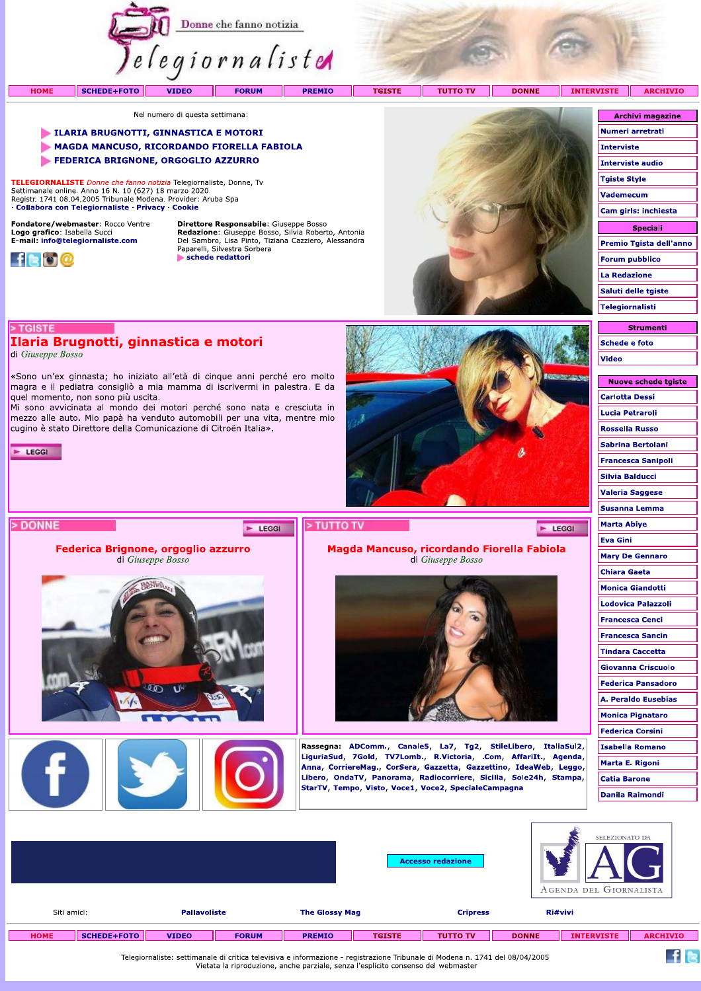

Nel numero di questa settimana:

### LILARIA BRUGNOTTI, GINNASTICA E MOTORI

- MAGDA MANCUSO, RICORDANDO FIORELLA FABIOLA
- FEDERICA BRIGNONE, ORGOGLIO AZZURRO

TELEGIORNALISTE Donne che fanno notizia Telegiornaliste, Donne, Tv Settimanale online. Anno 16 N. 10 (627) 18 marzo 2020<br>Registr. 1741 08.04.2005 Tribunale Modena. Provider: Aruba Spa · Collabora con Telegiornaliste · Privacy · Cookie

Ilaria Brugnotti, ginnastica e motori

cugino è stato Direttore della Comunicazione di Citroën Italia».

Federica Brignone, orgoglio azzurro di Giuseppe Bosso

«Sono un'ex ginnasta; ho iniziato all'età di cinque anni perché ero molto magra e il pediatra consigliò a mia mamma di iscrivermi in palestra. E da

Mi sono avvicinata al mondo dei motori perché sono nata e cresciuta in mezzo alle auto. Mio papà ha venduto automobili per una vita, mentre mio

Fondatore/webmaster: Rocco Ventre Logo grafico: Isabella Succi<br>E-mail: info@telegiornaliste.com

quel momento, non sono più uscita.



> TGISTE

 $\blacktriangleright$  LEGGI

> DONNE

di Giuseppe Bosso

Direttore Responsabile: Giuseppe Bosso **Redazione:** Giuseppe Bosso, Silvia Roberto, Antonia<br>Del Sambro, Lisa Pinto, Tiziana Cazziero, Alessandra<br>Paparelli, Silvestra Sorbera schede redattori

E LEGGI



Magda Mancuso, ricordando Fiorella Fabiola

di Giuseppe Bosso

Rassegna: ADComm., Canale5, La7, Tg2, StileLibero, ItaliaSul2, LiguriaSud, 7Gold, TV7Lomb., R.Victoria, .Com, AffariIt., Agenda, Anna, CorriereMag., CorSera, Gazzetta, Gazzettino, IdeaWeb, Leggo, Libero, OndaTV, Panorama, Radiocorriere, Sicilia, Sole24h, Stampa,

StarTV, Tempo, Visto, Voce1, Voce2, SpecialeCampagna

| <b>Archivi magazine</b> |
|-------------------------|
| Numeri arretrati        |
| Interviste              |
| Interviste audio        |
| <b>Tgiste Style</b>     |
| Vademecum               |
| Cam girls: inchiesta    |
| Speciali                |
| Premio Tgista dell'anno |
| Forum pubblico          |
| La Redazione            |
| Saluti delle tgiste     |
| Telegiornalisti         |
|                         |

# **Strumenti Schede e foto** Video

| <b>NUOVE SCREUE LYISLE</b> |
|----------------------------|
| <b>Carlotta Dessi</b>      |
| <b>Lucia Petraroli</b>     |
| <b>Rossella Russo</b>      |
| Sabrina Bertolani          |
| <b>Francesca Sanipoli</b>  |
| Silvia Balducci            |
| <b>Valeria Saggese</b>     |
| Susanna Lemma              |
| Marta Abiye                |
| Eva Gini                   |
| <b>Mary De Gennaro</b>     |
| <b>Chiara Gaeta</b>        |
| <b>Monica Giandotti</b>    |
| Lodovica Palazzoli         |
| <b>Francesca Cenci</b>     |
| <b>Francesca Sancin</b>    |
| <b>Tindara Caccetta</b>    |
| Giovanna Criscuolo         |
| <b>Federica Pansadoro</b>  |
| <b>A. Peraldo Eusebias</b> |
| <b>Monica Pignataro</b>    |
| <b>Federica Corsini</b>    |
| <b>Isabella Romano</b>     |
| Marta E. Rigoni            |
| <b>Catia Barone</b>        |
| Danila Raimondi            |
|                            |

 $f \approx$ 

E LEGGI

|             |             |                     |              |                       | <b>Accesso redazione</b> |                 |              | SELEZIONATO DA<br>AGENDA DEL GIORNALISTA |                 |  |
|-------------|-------------|---------------------|--------------|-----------------------|--------------------------|-----------------|--------------|------------------------------------------|-----------------|--|
| Siti amici: |             | <b>Pallavoliste</b> |              | <b>The Glossy Mag</b> |                          | <b>Cripress</b> |              | Ri#vivi                                  |                 |  |
| <b>HOME</b> | SCHEDE+FOTO | <b>VIDEO</b>        | <b>FORUM</b> | <b>PREMIO</b>         | <b>TGISTE</b>            | <b>TUTTO TV</b> | <b>DONNE</b> | <b>INTERVISTE</b>                        | <b>ARCHIVIO</b> |  |
|             |             |                     |              |                       |                          |                 |              |                                          |                 |  |

> TUTTO TV

Telegiornaliste: settimanale di critica televisiva e informazione - registrazione Tribunale di Modena n. 1741 del 08/04/2005<br>Vietata la riproduzione, anche parziale, senza l'esplicito consenso del webmaster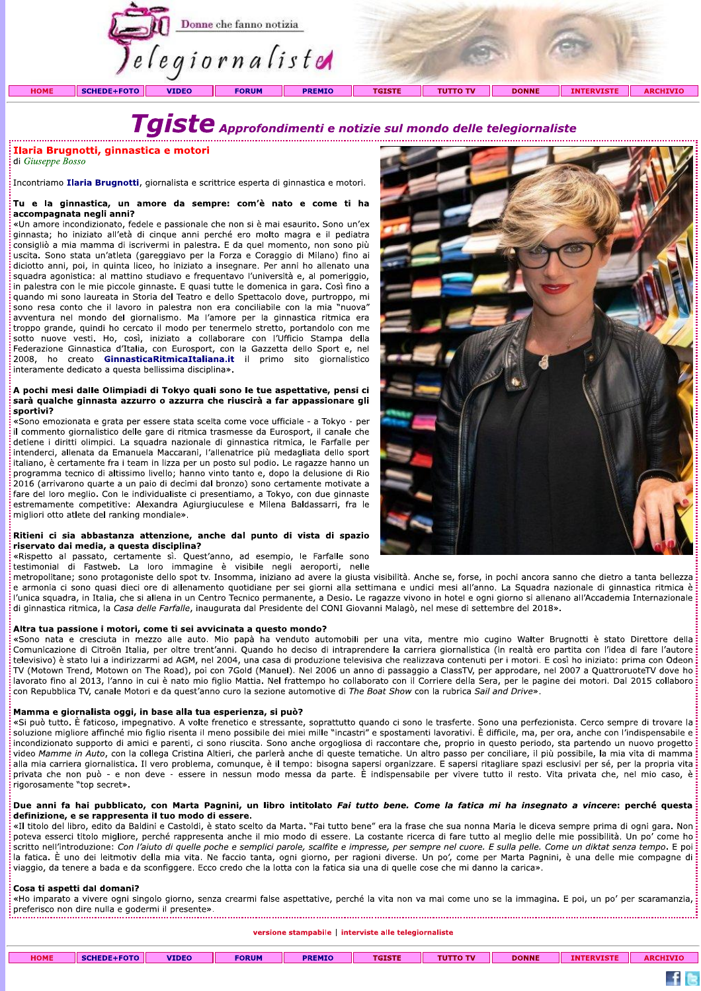

**Examplementi e notizionismo di contributo di controller de la giusale di Giuseppe Bosso<br>
Incontriamo Ilaria Brugnotti, giornalista e scrittrice esperta di ginnastica e motori.<br>
<b>Tu e la ginnastica, un amore da sempre: com** sono resa conto che il lavoro in palestra non era conciliabile con la mia "nuova" avventura nel mondo del giornalismo. Ma l'amore per la ginnastica ritmica era troppo grande, quindi ho cercato il modo per tenermelo stretto, portandolo con me sotto nuove vesti. Ho, così, iniziato a collaborare con l'Ufficio Stampa della Federazione Ginnastica d'Italia, con Eurosport, con la Gazzetta dello Sport e, nel<br>2008, ho creato **GinnasticaRitmicaItaliana.it** il primo sito giornalistico in palestra con le mie piccole ginnaste. E quasi tutte le domenica in gara. Così fino a quando mi sono resa conto che il lavoro in palestra non era conciliabile con la ma "nuova" avventura nel mondo del giornalismo. Ma l'a rentura nel mondo del giornalismo. Meno pro grande, quindi ho cercato il modo<br>to nuove vesti. Ho, così, iniziato a<br>derazione Ginnastica d'Italia, con Euros<br>98, ho creato **GinnasticaRitmicaI**<br>ramente dedicato a questa belli

avventura nel mondo del giornalismo. Ma l'amore per la ginnastica ritmica era iroppo grande, quindi ho cercato il modo per tenerembo stretto, portandolo con me<br>stoto nuove vesti. Ho, così, iniziato a collaborare con l'Uffi fare del loro meglio. Con le individualiste ci presentiamo, a Tokyo, con due ginnaste estremamente competitive: Alexandra Agiurgiuculese e Milena Baldassarri, fra le<br>migliori otto atlete del ranking mondiale».



 $f \approx$ 

**EXERCISE CONTRACTS AND INTERNATIONAL PROPERTY AND ARRANGEMENT CONTRACTS AND ARRANGEMENT CONTRACTS AND ARRANGEMENT CONTRACTS AND A CONTRACT CONTRACTS AND A CONTRACT CONTRACTS AND A CONTRACT CONTRACT CONTRACTS AND A CONTR** 

| <b>TGISTE</b><br><b>DONNE</b><br><b>HOME</b><br><b>VIDEO</b><br><b>PREMIO</b><br><b>TUTTO TV</b><br><b>FORUM</b><br><b>SCHEDE+FOTO</b><br><b>INTERVISTE</b> | <b>ARCHIVIO</b> |
|-------------------------------------------------------------------------------------------------------------------------------------------------------------|-----------------|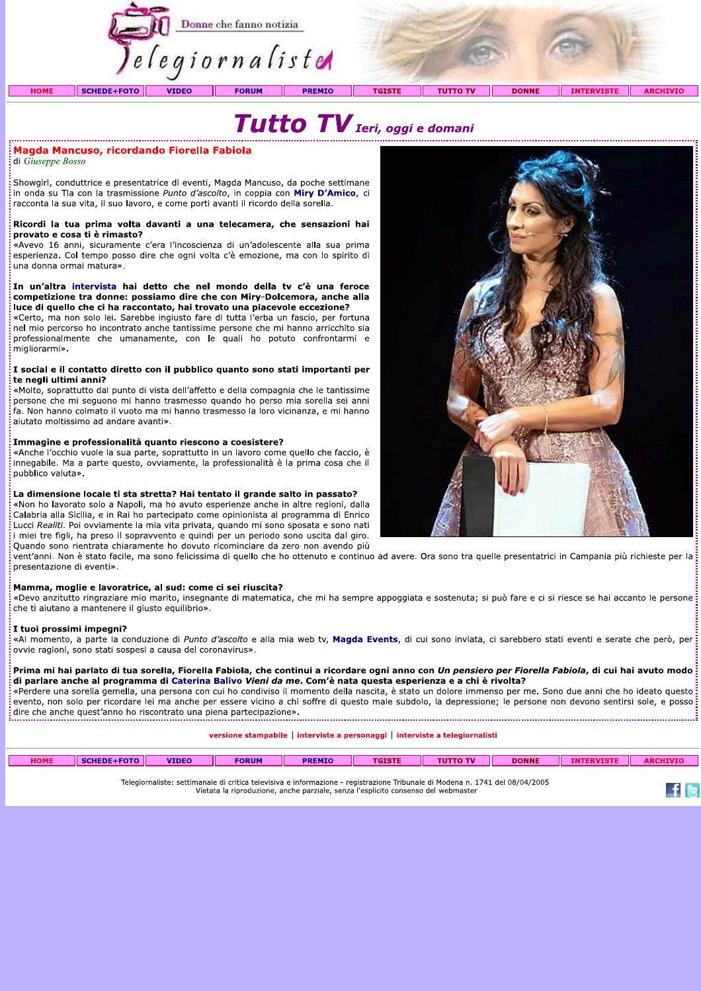



## Magda Mancuso, ricordando Fiorella Fabiola

di Giuseppe Bosso

Showgirl, conduttrice e presentatrice di eventi, Magda Mancuso, da poche settimane in onda su Tla con la trasmissione Punto d'ascolto, in coppia con Miry D'Amico, ci racconta la sua vita, il suo lavoro, e come porti avanti il ricordo della sorella.

### Ricordi la tua prima volta davanti a una telecamera, che sensazioni hai provato e cosa ti è rimasto?

«Avevo 16 anni, sicuramente c'era l'incoscienza di un'adolescente alla sua prima esperienza. Col tempo posso dire che ogni volta c'è emozione, ma con lo spirito di una donna ormai matura».

### In un'altra intervista hai detto che nel mondo della tv c'è una feroce competizione tra donne: possiamo dire che con Miry-Dolcemora, anche alla luce di quello che ci ha raccontato, hai trovato una piacevole eccezione?

«Certo, ma non solo lei. Sarebbe ingiusto fare di tutta l'erba un fascio, per fortuna nel mio percorso ho incontrato anche tantissime persone che mi hanno arricchito sia professionalmente che umanamente, con le quali ho potuto confrontarmi e migliorarmi».

### $\frac{1}{5}$ I social e il contatto diretto con il pubblico quanto sono stati importanti per te negli ultimi anni?

«Molto, soprattutto dal punto di vista dell'affetto e della compagnia che le tantissime persone che mi seguono mi hanno trasmesso guando ho perso mia sorella sei anni .<br>fa. Non hanno colmato il vuoto ma mi hanno trasmesso la loro vicinanza, e mi hanno aiutato moltissimo ad andare avanti».

### Immagine e professionalità quanto riescono a coesistere?

«Anche l'occhio vuole la sua parte, soprattutto in un lavoro come quello che faccio, è innegabile. Ma a parte questo, ovviamente, la professionalità è la prima cosa che il pubblico valuta».

### La dimensione locale ti sta stretta? Hai tentato il grande salto in passato?

«Non ho lavorato solo a Napoli, ma ho avuto esperienze anche in altre regioni, dalla Calabria alla Sicilia, e in Rai ho partecipato come opinionista al programma di Enrico Lucci Realiti. Poi ovviamente la mia vita privata, quando mi sono sposata e sono nati i miei tre figli, ha preso il sopravvento e quindi per un periodo sono uscita dal giro. Quando sono rientrata chiaramente ho dovuto ricominciare da zero non avendo più

vent'anni. Non è stato facile, ma sono felicissima di quello che ho ottenuto e continuo ad avere. Ora sono tra quelle presentatrici in Campania più richieste per la presentazione di eventi».

### Mamma, moglie e lavoratrice, al sud: come ci sei riuscita?

«Devo anzitutto ringraziare mio marito, insegnante di matematica, che mi ha sempre appoggiata e sostenuta; si può fare e ci si riesce se hai accanto le persone: che ti aiutano a mantenere il giusto equilibrio».

### I tuoi prossimi impeani?

«Al momento, a parte la conduzione di Punto d'ascolto e alla mia web tv, Magda Events, di cui sono inviata, ci sarebbero stati eventi e serate che però, per ovvie ragioni, sono stati sospesi a causa del coronavirus».

Prima mi hai parlato di tua sorella, Fiorella Fabiola, che continui a ricordare ogni anno con Un pensiero per Fiorella Fabiola, di cui hai avuto modo di parlare anche al programma di Caterina Balivo Vieni da me. Com'è nata questa esperienza e a chi è rivolta?

«Perdere una sorella gemella, una persona con cui ho condiviso il momento della nascita, è stato un dolore immenso per me. Sono due anni che ho ideato questo: evento, non solo per ricordare lei ma anche per essere vicino a chi soffre di questo male subdolo, la depressione; le persone non devono sentirsi sole, e posso dire che anche quest'anno ho riscontrato una piena partecipazione». 

versione stampabile | interviste a personaggi | interviste a telegiornalisti

| <b>HOME</b> | <b>SCHEDE+FOTO</b><br>SUNEDER | <b>VIDEO</b> | <b>FORUM</b> | <b>PREMIO</b> | <b>TGISTE</b> | <b>TO TV</b><br>CUT.<br> | <b>DONNE</b> | <b>INTERVISTE</b> | <b>ARCHIVIC</b> |
|-------------|-------------------------------|--------------|--------------|---------------|---------------|--------------------------|--------------|-------------------|-----------------|
|             |                               |              |              |               |               |                          |              |                   |                 |

Telegiornaliste: settimanale di critica televisiva e informazione - registrazione Tribunale di Modena n. 1741 del 08/04/2005 Vietata la riproduzione, anche parziale, senza l'esplicito consenso del webmaster



 $f \approx$